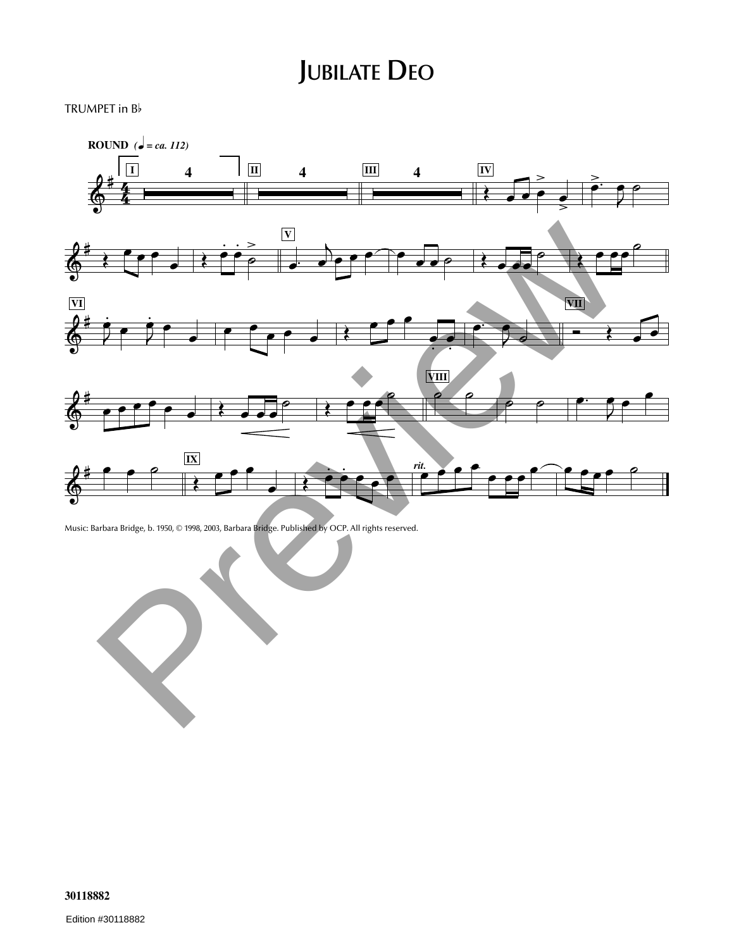## **JUBILATE DEO**

TRUMPET in <sup>B</sup>



Music: Barbara Bridge, b. 1950, © 1998, 2003, Barbara Bridge. Published by OCP. All rights reserved.

**30118882**

Edition #30118882